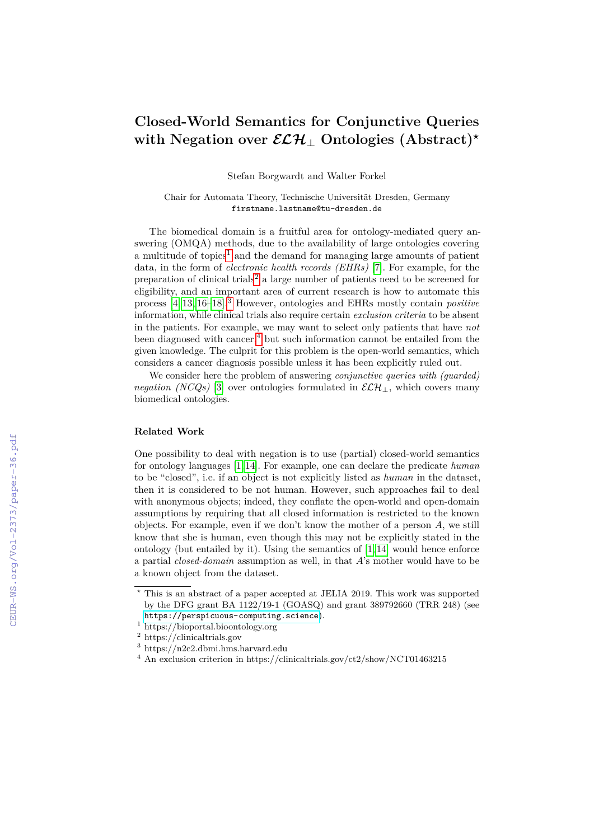# **Closed-World Semantics for Conjunctive Queries with Negation over**  $\mathcal{ELH}$  **Ontologies (Abstract)**<sup>*\**</sup>

Stefan Borgwardt and Walter Forkel

Chair for Automata Theory, Technische Universität Dresden, Germany firstname.lastname@tu-dresden.de

The biomedical domain is a fruitful area for ontology-mediated query answering (OMQA) methods, due to the availability of large ontologies covering a multitude of topics<sup>[1](#page-0-0)</sup> and the demand for managing large amounts of patient data, in the form of *electronic health records (EHRs)* [\[7\]](#page--1-0). For example, for the preparation of clinical trials<sup>[2](#page-0-1)</sup> a large number of patients need to be screened for eligibility, and an important area of current research is how to automate this process [\[4,](#page--1-1) [13,](#page--1-2) [16](#page--1-3)[–18\]](#page--1-4).[3](#page-0-2) However, ontologies and EHRs mostly contain *positive* information, while clinical trials also require certain *exclusion criteria* to be absent in the patients. For example, we may want to select only patients that have *not* been diagnosed with cancer,<sup>[4](#page-0-3)</sup> but such information cannot be entailed from the given knowledge. The culprit for this problem is the open-world semantics, which considers a cancer diagnosis possible unless it has been explicitly ruled out.

We consider here the problem of answering *conjunctive queries with (guarded) negation (NCQs)* [\[3\]](#page--1-5) over ontologies formulated in  $\mathcal{ELH}_\perp$ , which covers many biomedical ontologies.

## **Related Work**

One possibility to deal with negation is to use (partial) closed-world semantics for ontology languages [\[1,](#page--1-6) [14\]](#page--1-7). For example, one can declare the predicate *human* to be "closed", i.e. if an object is not explicitly listed as *human* in the dataset, then it is considered to be not human. However, such approaches fail to deal with anonymous objects; indeed, they conflate the open-world and open-domain assumptions by requiring that all closed information is restricted to the known objects. For example, even if we don't know the mother of a person *A*, we still know that she is human, even though this may not be explicitly stated in the ontology (but entailed by it). Using the semantics of  $[1, 14]$  $[1, 14]$  would hence enforce a partial *closed-domain* assumption as well, in that *A*'s mother would have to be a known object from the dataset.

*<sup>?</sup>* This is an abstract of a paper accepted at JELIA 2019. This work was supported by the DFG grant BA 1122/19-1 (GOASQ) and grant 389792660 (TRR 248) (see <https://perspicuous-computing.science>).

<span id="page-0-0"></span><sup>1</sup> https://bioportal.bioontology.org

<span id="page-0-1"></span> $^2$ https://clinicaltrials.gov

<span id="page-0-2"></span><sup>3</sup> https://n2c2.dbmi.hms.harvard.edu

<span id="page-0-3"></span> $^4$  An exclusion criterion in https://clinicaltrials.gov/ct2/show/NCT01463215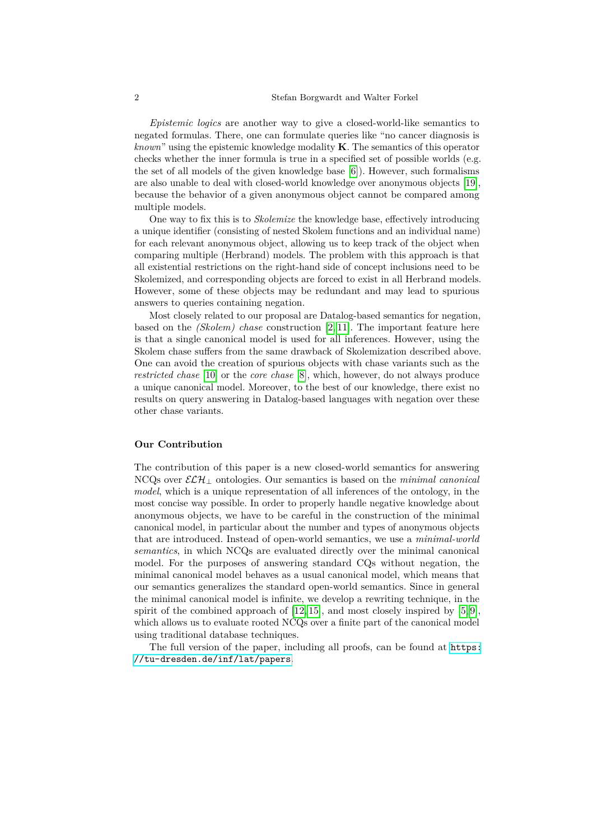*Epistemic logics* are another way to give a closed-world-like semantics to negated formulas. There, one can formulate queries like "no cancer diagnosis is *known*" using the epistemic knowledge modality **K**. The semantics of this operator checks whether the inner formula is true in a specified set of possible worlds (e.g. the set of all models of the given knowledge base [\[6\]](#page-2-0)). However, such formalisms are also unable to deal with closed-world knowledge over anonymous objects [\[19\]](#page-3-0), because the behavior of a given anonymous object cannot be compared among multiple models.

One way to fix this is to *Skolemize* the knowledge base, effectively introducing a unique identifier (consisting of nested Skolem functions and an individual name) for each relevant anonymous object, allowing us to keep track of the object when comparing multiple (Herbrand) models. The problem with this approach is that all existential restrictions on the right-hand side of concept inclusions need to be Skolemized, and corresponding objects are forced to exist in all Herbrand models. However, some of these objects may be redundant and may lead to spurious answers to queries containing negation.

Most closely related to our proposal are Datalog-based semantics for negation, based on the *(Skolem) chase* construction [\[2,](#page-2-1) [11\]](#page-2-2). The important feature here is that a single canonical model is used for all inferences. However, using the Skolem chase suffers from the same drawback of Skolemization described above. One can avoid the creation of spurious objects with chase variants such as the *restricted chase* [\[10\]](#page-2-3) or the *core chase* [\[8\]](#page-2-4), which, however, do not always produce a unique canonical model. Moreover, to the best of our knowledge, there exist no results on query answering in Datalog-based languages with negation over these other chase variants.

### **Our Contribution**

The contribution of this paper is a new closed-world semantics for answering NCQs over ELH<sup>⊥</sup> ontologies. Our semantics is based on the *minimal canonical model*, which is a unique representation of all inferences of the ontology, in the most concise way possible. In order to properly handle negative knowledge about anonymous objects, we have to be careful in the construction of the minimal canonical model, in particular about the number and types of anonymous objects that are introduced. Instead of open-world semantics, we use a *minimal-world semantics*, in which NCQs are evaluated directly over the minimal canonical model. For the purposes of answering standard CQs without negation, the minimal canonical model behaves as a usual canonical model, which means that our semantics generalizes the standard open-world semantics. Since in general the minimal canonical model is infinite, we develop a rewriting technique, in the spirit of the combined approach of  $[12, 15]$  $[12, 15]$ , and most closely inspired by  $[5, 9]$  $[5, 9]$ , which allows us to evaluate rooted NCQs over a finite part of the canonical model using traditional database techniques.

The full version of the paper, including all proofs, can be found at [https:](https://tu-dresden.de/inf/lat/papers) [//tu-dresden.de/inf/lat/papers](https://tu-dresden.de/inf/lat/papers).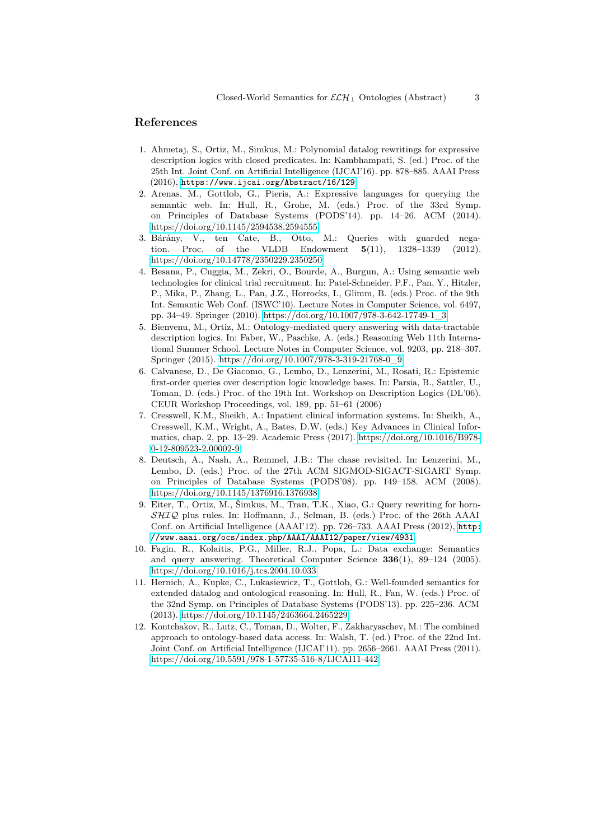## **References**

- 1. Ahmetaj, S., Ortiz, M., Simkus, M.: Polynomial datalog rewritings for expressive description logics with closed predicates. In: Kambhampati, S. (ed.) Proc. of the 25th Int. Joint Conf. on Artificial Intelligence (IJCAI'16). pp. 878–885. AAAI Press (2016), <https://www.ijcai.org/Abstract/16/129>
- <span id="page-2-1"></span>2. Arenas, M., Gottlob, G., Pieris, A.: Expressive languages for querying the semantic web. In: Hull, R., Grohe, M. (eds.) Proc. of the 33rd Symp. on Principles of Database Systems (PODS'14). pp. 14–26. ACM (2014). <https://doi.org/10.1145/2594538.2594555>
- 3. Bárány, V., ten Cate, B., Otto, M.: Queries with guarded negation. Proc. of the VLDB Endowment **5**(11), 1328–1339 (2012). <https://doi.org/10.14778/2350229.2350250>
- 4. Besana, P., Cuggia, M., Zekri, O., Bourde, A., Burgun, A.: Using semantic web technologies for clinical trial recruitment. In: Patel-Schneider, P.F., Pan, Y., Hitzler, P., Mika, P., Zhang, L., Pan, J.Z., Horrocks, I., Glimm, B. (eds.) Proc. of the 9th Int. Semantic Web Conf. (ISWC'10). Lecture Notes in Computer Science, vol. 6497, pp. 34–49. Springer (2010). [https://doi.org/10.1007/978-3-642-17749-1\\_3](https://doi.org/10.1007/978-3-642-17749-1_3)
- <span id="page-2-6"></span>5. Bienvenu, M., Ortiz, M.: Ontology-mediated query answering with data-tractable description logics. In: Faber, W., Paschke, A. (eds.) Reasoning Web 11th International Summer School. Lecture Notes in Computer Science, vol. 9203, pp. 218–307. Springer (2015). [https://doi.org/10.1007/978-3-319-21768-0\\_9](https://doi.org/10.1007/978-3-319-21768-0_9)
- <span id="page-2-0"></span>6. Calvanese, D., De Giacomo, G., Lembo, D., Lenzerini, M., Rosati, R.: Epistemic first-order queries over description logic knowledge bases. In: Parsia, B., Sattler, U., Toman, D. (eds.) Proc. of the 19th Int. Workshop on Description Logics (DL'06). CEUR Workshop Proceedings, vol. 189, pp. 51–61 (2006)
- 7. Cresswell, K.M., Sheikh, A.: Inpatient clinical information systems. In: Sheikh, A., Cresswell, K.M., Wright, A., Bates, D.W. (eds.) Key Advances in Clinical Informatics, chap. 2, pp. 13–29. Academic Press (2017). [https://doi.org/10.1016/B978-](https://doi.org/10.1016/B978-0-12-809523-2.00002-9) [0-12-809523-2.00002-9](https://doi.org/10.1016/B978-0-12-809523-2.00002-9)
- <span id="page-2-4"></span>8. Deutsch, A., Nash, A., Remmel, J.B.: The chase revisited. In: Lenzerini, M., Lembo, D. (eds.) Proc. of the 27th ACM SIGMOD-SIGACT-SIGART Symp. on Principles of Database Systems (PODS'08). pp. 149–158. ACM (2008). <https://doi.org/10.1145/1376916.1376938>
- <span id="page-2-7"></span>9. Eiter, T., Ortiz, M., Šimkus, M., Tran, T.K., Xiao, G.: Query rewriting for horn-SHIQ plus rules. In: Hoffmann, J., Selman, B. (eds.) Proc. of the 26th AAAI Conf. on Artificial Intelligence (AAAI'12). pp. 726–733. AAAI Press (2012), [http:](http://www.aaai.org/ocs/index.php/AAAI/AAAI12/paper/view/4931) [//www.aaai.org/ocs/index.php/AAAI/AAAI12/paper/view/4931](http://www.aaai.org/ocs/index.php/AAAI/AAAI12/paper/view/4931)
- <span id="page-2-3"></span>10. Fagin, R., Kolaitis, P.G., Miller, R.J., Popa, L.: Data exchange: Semantics and query answering. Theoretical Computer Science **336**(1), 89–124 (2005). <https://doi.org/10.1016/j.tcs.2004.10.033>
- <span id="page-2-2"></span>11. Hernich, A., Kupke, C., Lukasiewicz, T., Gottlob, G.: Well-founded semantics for extended datalog and ontological reasoning. In: Hull, R., Fan, W. (eds.) Proc. of the 32nd Symp. on Principles of Database Systems (PODS'13). pp. 225–236. ACM (2013).<https://doi.org/10.1145/2463664.2465229>
- <span id="page-2-5"></span>12. Kontchakov, R., Lutz, C., Toman, D., Wolter, F., Zakharyaschev, M.: The combined approach to ontology-based data access. In: Walsh, T. (ed.) Proc. of the 22nd Int. Joint Conf. on Artificial Intelligence (IJCAI'11). pp. 2656–2661. AAAI Press (2011). <https://doi.org/10.5591/978-1-57735-516-8/IJCAI11-442>